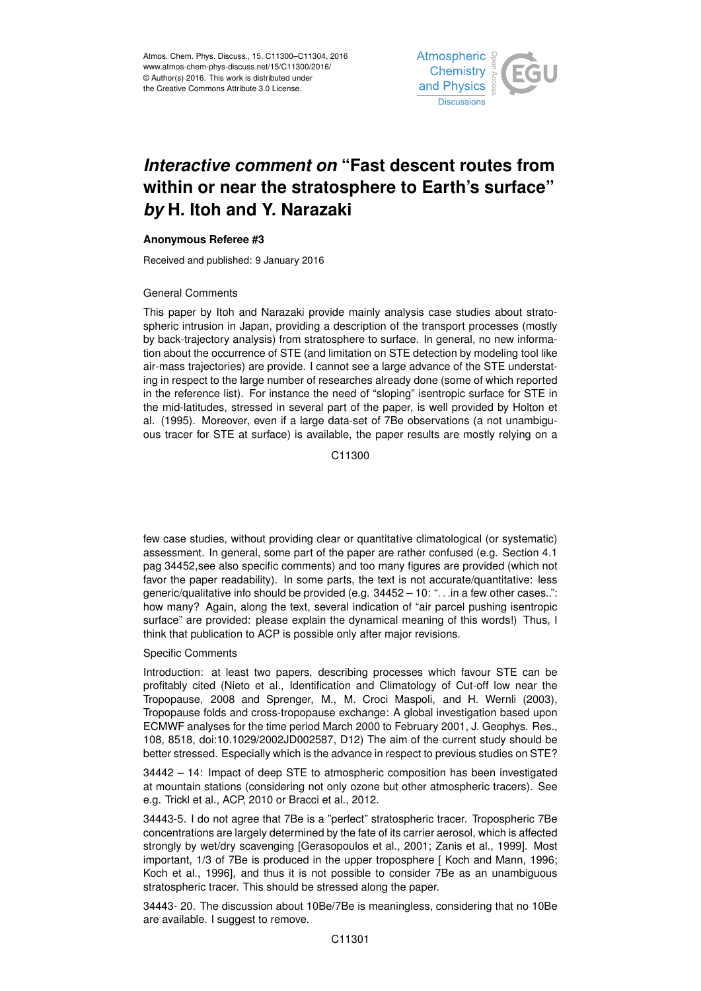

## *Interactive comment on* **"Fast descent routes from within or near the stratosphere to Earth's surface"** *by* **H. Itoh and Y. Narazaki**

## **Anonymous Referee #3**

Received and published: 9 January 2016

## General Comments

This paper by Itoh and Narazaki provide mainly analysis case studies about stratospheric intrusion in Japan, providing a description of the transport processes (mostly by back-trajectory analysis) from stratosphere to surface. In general, no new information about the occurrence of STE (and limitation on STE detection by modeling tool like air-mass trajectories) are provide. I cannot see a large advance of the STE understating in respect to the large number of researches already done (some of which reported in the reference list). For instance the need of "sloping" isentropic surface for STE in the mid-latitudes, stressed in several part of the paper, is well provided by Holton et al. (1995). Moreover, even if a large data-set of 7Be observations (a not unambiguous tracer for STE at surface) is available, the paper results are mostly relying on a

C11300

few case studies, without providing clear or quantitative climatological (or systematic) assessment. In general, some part of the paper are rather confused (e.g. Section 4.1 pag 34452,see also specific comments) and too many figures are provided (which not favor the paper readability). In some parts, the text is not accurate/quantitative: less generic/qualitative info should be provided (e.g. 34452 – 10: ". . .in a few other cases..": how many? Again, along the text, several indication of "air parcel pushing isentropic surface" are provided: please explain the dynamical meaning of this words!) Thus, I think that publication to ACP is possible only after major revisions.

## Specific Comments

Introduction: at least two papers, describing processes which favour STE can be profitably cited (Nieto et al., Identification and Climatology of Cut-off low near the Tropopause, 2008 and Sprenger, M., M. Croci Maspoli, and H. Wernli (2003), Tropopause folds and cross-tropopause exchange: A global investigation based upon ECMWF analyses for the time period March 2000 to February 2001, J. Geophys. Res., 108, 8518, doi:10.1029/2002JD002587, D12) The aim of the current study should be better stressed. Especially which is the advance in respect to previous studies on STE?

34442 – 14: Impact of deep STE to atmospheric composition has been investigated at mountain stations (considering not only ozone but other atmospheric tracers). See e.g. Trickl et al., ACP, 2010 or Bracci et al., 2012.

34443-5. I do not agree that 7Be is a "perfect" stratospheric tracer. Tropospheric 7Be concentrations are largely determined by the fate of its carrier aerosol, which is affected strongly by wet/dry scavenging [Gerasopoulos et al., 2001; Zanis et al., 1999]. Most important, 1/3 of 7Be is produced in the upper troposphere [ Koch and Mann, 1996; Koch et al., 1996], and thus it is not possible to consider 7Be as an unambiguous stratospheric tracer. This should be stressed along the paper.

34443- 20. The discussion about 10Be/7Be is meaningless, considering that no 10Be are available. I suggest to remove.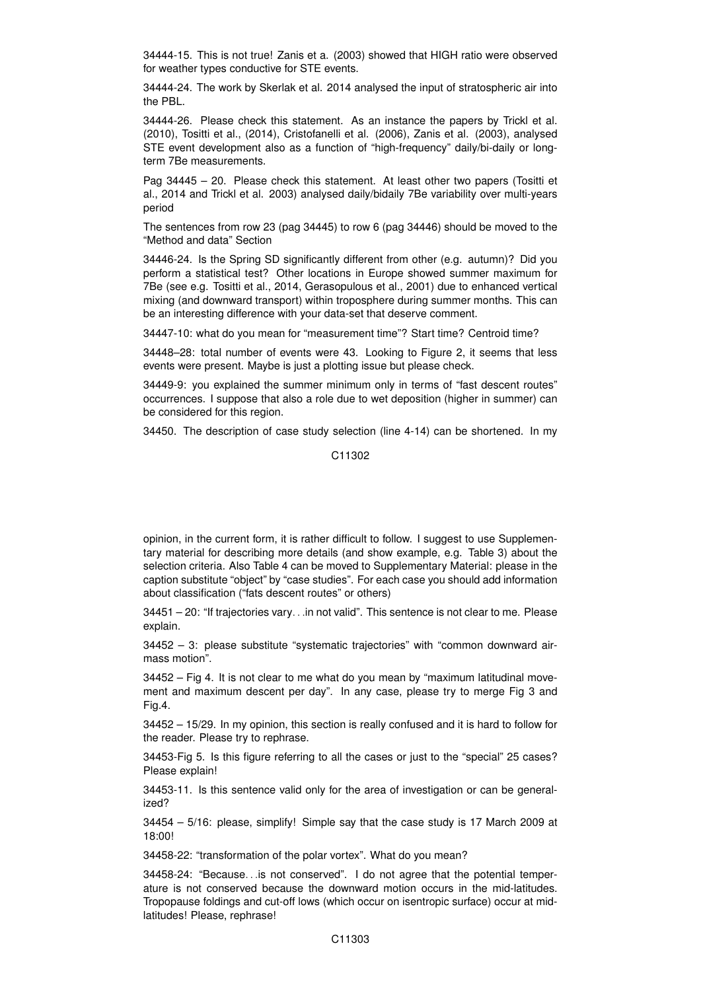34444-15. This is not true! Zanis et a. (2003) showed that HIGH ratio were observed for weather types conductive for STE events.

34444-24. The work by Skerlak et al. 2014 analysed the input of stratospheric air into the PBL.

34444-26. Please check this statement. As an instance the papers by Trickl et al. (2010), Tositti et al., (2014), Cristofanelli et al. (2006), Zanis et al. (2003), analysed STE event development also as a function of "high-frequency" daily/bi-daily or longterm 7Be measurements.

Pag 34445 – 20. Please check this statement. At least other two papers (Tositti et al., 2014 and Trickl et al. 2003) analysed daily/bidaily 7Be variability over multi-years period

The sentences from row 23 (pag 34445) to row 6 (pag 34446) should be moved to the "Method and data" Section

34446-24. Is the Spring SD significantly different from other (e.g. autumn)? Did you perform a statistical test? Other locations in Europe showed summer maximum for 7Be (see e.g. Tositti et al., 2014, Gerasopulous et al., 2001) due to enhanced vertical mixing (and downward transport) within troposphere during summer months. This can be an interesting difference with your data-set that deserve comment.

34447-10: what do you mean for "measurement time"? Start time? Centroid time?

34448–28: total number of events were 43. Looking to Figure 2, it seems that less events were present. Maybe is just a plotting issue but please check.

34449-9: you explained the summer minimum only in terms of "fast descent routes" occurrences. I suppose that also a role due to wet deposition (higher in summer) can be considered for this region.

34450. The description of case study selection (line 4-14) can be shortened. In my

C<sub>11302</sub>

opinion, in the current form, it is rather difficult to follow. I suggest to use Supplementary material for describing more details (and show example, e.g. Table 3) about the selection criteria. Also Table 4 can be moved to Supplementary Material: please in the caption substitute "object" by "case studies". For each case you should add information about classification ("fats descent routes" or others)

34451 – 20: "If trajectories vary. . .in not valid". This sentence is not clear to me. Please explain.

34452 – 3: please substitute "systematic trajectories" with "common downward airmass motion".

34452 – Fig 4. It is not clear to me what do you mean by "maximum latitudinal movement and maximum descent per day". In any case, please try to merge Fig 3 and Fig.4.

34452 – 15/29. In my opinion, this section is really confused and it is hard to follow for the reader. Please try to rephrase.

34453-Fig 5. Is this figure referring to all the cases or just to the "special" 25 cases? Please explain!

34453-11. Is this sentence valid only for the area of investigation or can be generalized?

34454 – 5/16: please, simplify! Simple say that the case study is 17 March 2009 at 18:00!

34458-22: "transformation of the polar vortex". What do you mean?

34458-24: "Because. . .is not conserved". I do not agree that the potential temperature is not conserved because the downward motion occurs in the mid-latitudes. Tropopause foldings and cut-off lows (which occur on isentropic surface) occur at midlatitudes! Please, rephrase!